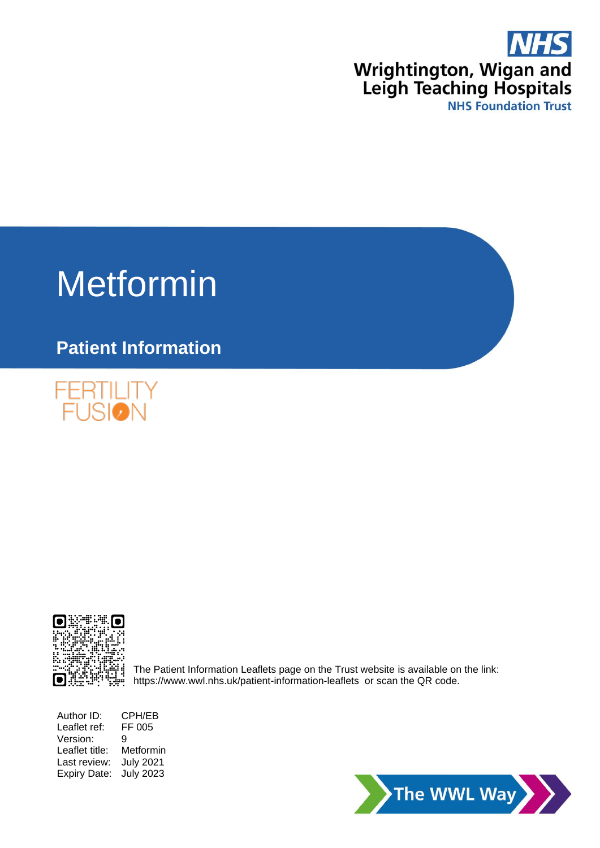

# Metformin

# **Patient Information**





The Patient Information Leaflets page on the Trust website is available on the link: <https://www.wwl.nhs.uk/patient-information-leaflets> or scan the QR code.

Author ID: CPH/EB<br>Leaflet ref: FF 005 Leaflet ref: Version: 9 Leaflet title: Metformin Last review: July 2021 Expiry Date: July 2023

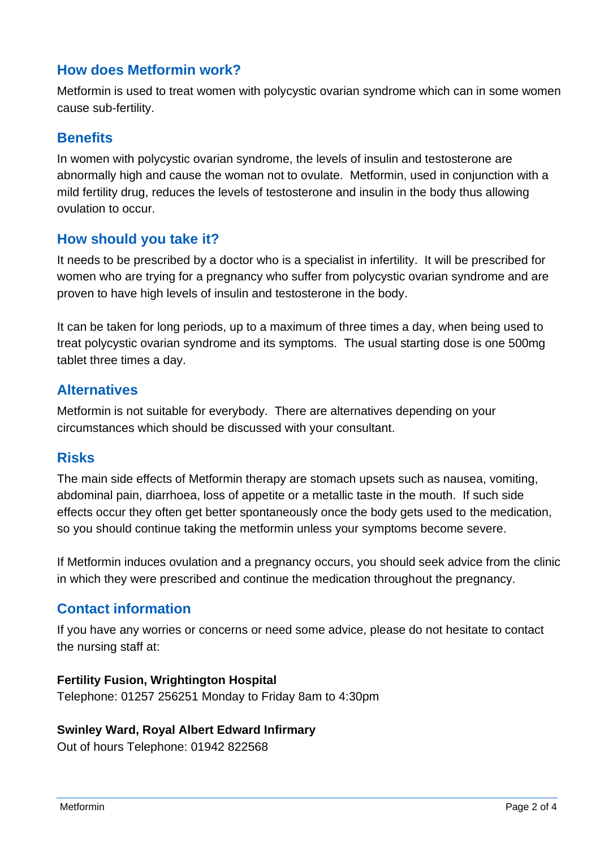# **How does Metformin work?**

Metformin is used to treat women with polycystic ovarian syndrome which can in some women cause sub-fertility.

# **Benefits**

In women with polycystic ovarian syndrome, the levels of insulin and testosterone are abnormally high and cause the woman not to ovulate. Metformin, used in conjunction with a mild fertility drug, reduces the levels of testosterone and insulin in the body thus allowing ovulation to occur.

## **How should you take it?**

It needs to be prescribed by a doctor who is a specialist in infertility. It will be prescribed for women who are trying for a pregnancy who suffer from polycystic ovarian syndrome and are proven to have high levels of insulin and testosterone in the body.

It can be taken for long periods, up to a maximum of three times a day, when being used to treat polycystic ovarian syndrome and its symptoms. The usual starting dose is one 500mg tablet three times a day.

## **Alternatives**

Metformin is not suitable for everybody. There are alternatives depending on your circumstances which should be discussed with your consultant.

# **Risks**

The main side effects of Metformin therapy are stomach upsets such as nausea, vomiting, abdominal pain, diarrhoea, loss of appetite or a metallic taste in the mouth. If such side effects occur they often get better spontaneously once the body gets used to the medication, so you should continue taking the metformin unless your symptoms become severe.

If Metformin induces ovulation and a pregnancy occurs, you should seek advice from the clinic in which they were prescribed and continue the medication throughout the pregnancy.

# **Contact information**

If you have any worries or concerns or need some advice, please do not hesitate to contact the nursing staff at:

#### **Fertility Fusion, Wrightington Hospital**

Telephone: 01257 256251 Monday to Friday 8am to 4:30pm

#### **Swinley Ward, Royal Albert Edward Infirmary**

Out of hours Telephone: 01942 822568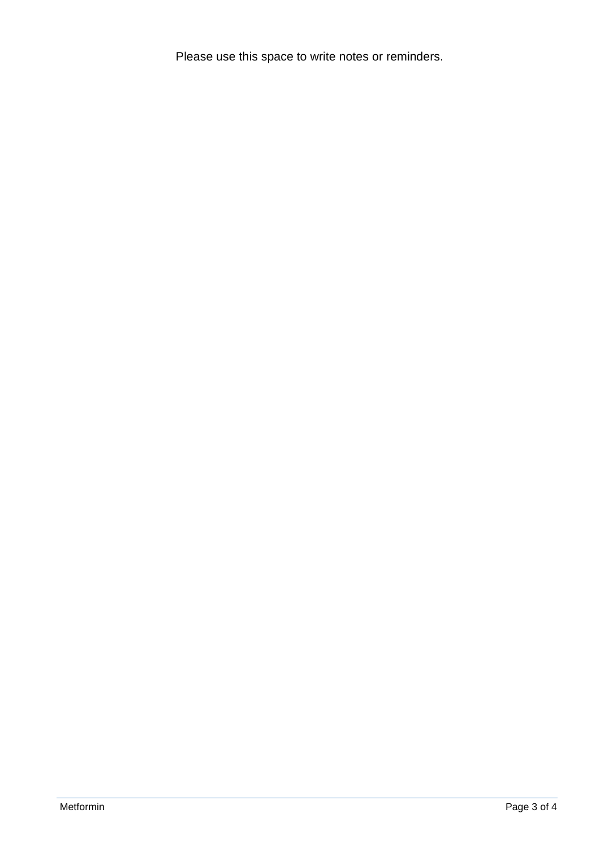Please use this space to write notes or reminders.